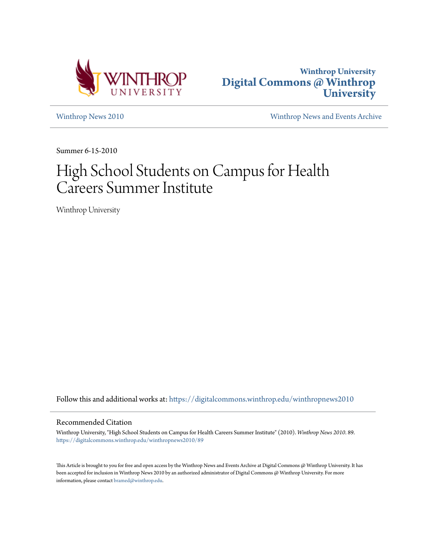



[Winthrop News 2010](https://digitalcommons.winthrop.edu/winthropnews2010?utm_source=digitalcommons.winthrop.edu%2Fwinthropnews2010%2F89&utm_medium=PDF&utm_campaign=PDFCoverPages) [Winthrop News and Events Archive](https://digitalcommons.winthrop.edu/winthropnewsarchives?utm_source=digitalcommons.winthrop.edu%2Fwinthropnews2010%2F89&utm_medium=PDF&utm_campaign=PDFCoverPages)

Summer 6-15-2010

## High School Students on Campus for Health Careers Summer Institute

Winthrop University

Follow this and additional works at: [https://digitalcommons.winthrop.edu/winthropnews2010](https://digitalcommons.winthrop.edu/winthropnews2010?utm_source=digitalcommons.winthrop.edu%2Fwinthropnews2010%2F89&utm_medium=PDF&utm_campaign=PDFCoverPages)

## Recommended Citation

Winthrop University, "High School Students on Campus for Health Careers Summer Institute" (2010). *Winthrop News 2010*. 89. [https://digitalcommons.winthrop.edu/winthropnews2010/89](https://digitalcommons.winthrop.edu/winthropnews2010/89?utm_source=digitalcommons.winthrop.edu%2Fwinthropnews2010%2F89&utm_medium=PDF&utm_campaign=PDFCoverPages)

This Article is brought to you for free and open access by the Winthrop News and Events Archive at Digital Commons @ Winthrop University. It has been accepted for inclusion in Winthrop News 2010 by an authorized administrator of Digital Commons @ Winthrop University. For more information, please contact [bramed@winthrop.edu](mailto:bramed@winthrop.edu).